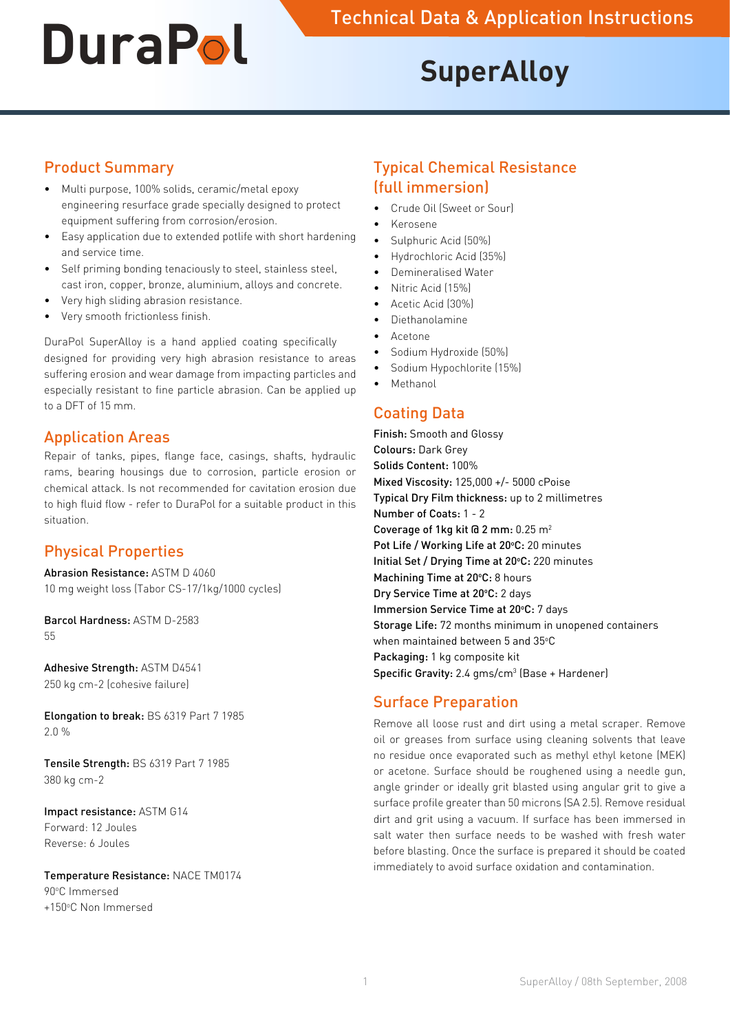# **SuperAlloy**

# Product Summary

- Multi purpose, 100% solids, ceramic/metal epoxy engineering resurface grade specially designed to protect equipment suffering from corrosion/erosion.
- • Easy application due to extended potlife with short hardening and service time.
- Self priming bonding tenaciously to steel, stainless steel, cast iron, copper, bronze, aluminium, alloys and concrete.
- Very high sliding abrasion resistance.
- Very smooth frictionless finish.

DuraPol SuperAlloy is a hand applied coating specifically designed for providing very high abrasion resistance to areas suffering erosion and wear damage from impacting particles and especially resistant to fine particle abrasion. Can be applied up to a DFT of 15 mm.

#### Application Areas

Repair of tanks, pipes, flange face, casings, shafts, hydraulic rams, bearing housings due to corrosion, particle erosion or chemical attack. Is not recommended for cavitation erosion due to high fluid flow - refer to DuraPol for a suitable product in this situation.

# Physical Properties

Abrasion Resistance: ASTM D 4060 10 mg weight loss (Tabor CS-17/1kg/1000 cycles)

Barcol Hardness: ASTM D-2583 55

Adhesive Strength: ASTM D4541 250 kg cm-2 (cohesive failure)

Elongation to break: BS 6319 Part 7 1985 2.0 %

Tensile Strength: BS 6319 Part 7 1985 380 kg cm-2

Impact resistance: ASTM G14 Forward: 12 Joules Reverse: 6 Joules

Temperature Resistance: NACE TM0174 90°C Immersed +150°C Non Immersed

#### Typical Chemical Resistance (full immersion)

- Crude Oil (Sweet or Sour)
- • Kerosene
- Sulphuric Acid (50%)
- Hydrochloric Acid (35%)
- Demineralised Water
- Nitric Acid (15%)
- Acetic Acid (30%)
- **Diethanolamine**
- • Acetone
- Sodium Hydroxide (50%)
- Sodium Hypochlorite (15%)
- **Methanol**

#### Coating Data

Finish: Smooth and Glossy Colours: Dark Grey Solids Content: 100% Mixed Viscosity: 125,000 +/- 5000 cPoise Typical Dry Film thickness: up to 2 millimetres Number of Coats: 1 - 2 Coverage of 1kg kit @ 2 mm: 0.25 m2 Pot Life / Working Life at 20°C: 20 minutes Initial Set / Drying Time at 20°C: 220 minutes Machining Time at 20°C: 8 hours Dry Service Time at 20°C: 2 days Immersion Service Time at 20°C: 7 days Storage Life: 72 months minimum in unopened containers when maintained between 5 and 35°C Packaging: 1 kg composite kit Specific Gravity:  $2.4$  gms/cm<sup>3</sup> (Base + Hardener)

# Surface Preparation

Remove all loose rust and dirt using a metal scraper. Remove oil or greases from surface using cleaning solvents that leave no residue once evaporated such as methyl ethyl ketone (MEK) or acetone. Surface should be roughened using a needle gun, angle grinder or ideally grit blasted using angular grit to give a surface profile greater than 50 microns (SA 2.5). Remove residual dirt and grit using a vacuum. If surface has been immersed in salt water then surface needs to be washed with fresh water before blasting. Once the surface is prepared it should be coated immediately to avoid surface oxidation and contamination.